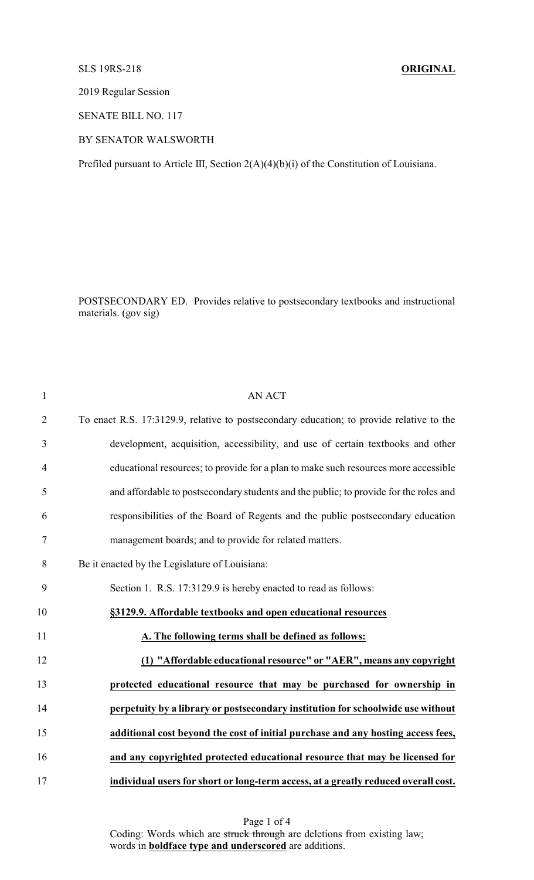## SLS 19RS-218 **ORIGINAL**

2019 Regular Session

SENATE BILL NO. 117

## BY SENATOR WALSWORTH

Prefiled pursuant to Article III, Section 2(A)(4)(b)(i) of the Constitution of Louisiana.

POSTSECONDARY ED. Provides relative to postsecondary textbooks and instructional materials. (gov sig)

| $\mathbf{1}$   | <b>AN ACT</b>                                                                            |
|----------------|------------------------------------------------------------------------------------------|
| $\overline{2}$ | To enact R.S. 17:3129.9, relative to postsecondary education; to provide relative to the |
| 3              | development, acquisition, accessibility, and use of certain textbooks and other          |
| $\overline{4}$ | educational resources; to provide for a plan to make such resources more accessible      |
| 5              | and affordable to postsecondary students and the public; to provide for the roles and    |
| 6              | responsibilities of the Board of Regents and the public postsecondary education          |
| 7              | management boards; and to provide for related matters.                                   |
| 8              | Be it enacted by the Legislature of Louisiana:                                           |
| 9              | Section 1. R.S. 17:3129.9 is hereby enacted to read as follows:                          |
| 10             | §3129.9. Affordable textbooks and open educational resources                             |
| 11             | A. The following terms shall be defined as follows:                                      |
| 12             | (1) "Affordable educational resource" or "AER", means any copyright                      |
| 13             | protected educational resource that may be purchased for ownership in                    |
| 14             | perpetuity by a library or postsecondary institution for schoolwide use without          |
| 15             | additional cost beyond the cost of initial purchase and any hosting access fees,         |
| 16             | and any copyrighted protected educational resource that may be licensed for              |
| 17             | individual users for short or long-term access, at a greatly reduced overall cost.       |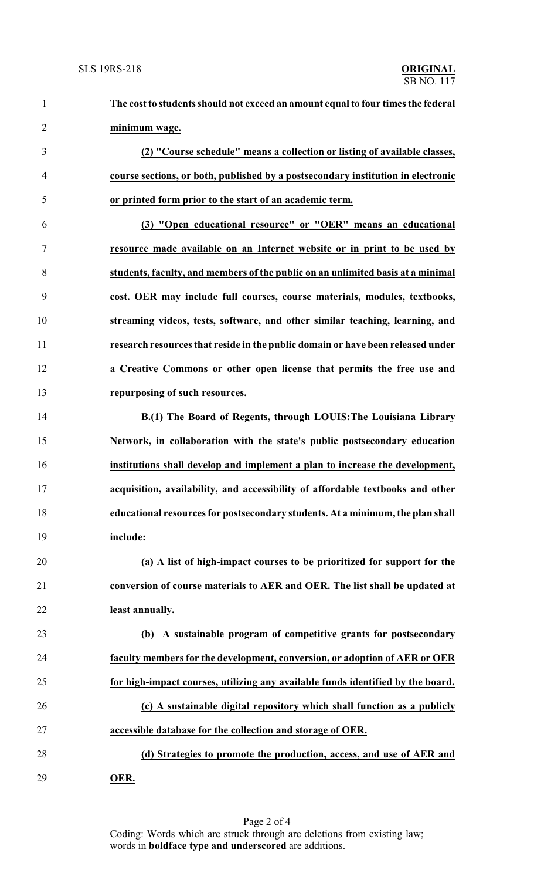| $\mathbf{1}$   | The cost to students should not exceed an amount equal to four times the federal |
|----------------|----------------------------------------------------------------------------------|
| $\overline{2}$ | minimum wage.                                                                    |
| 3              | (2) "Course schedule" means a collection or listing of available classes,        |
| $\overline{4}$ | course sections, or both, published by a postsecondary institution in electronic |
| 5              | or printed form prior to the start of an academic term.                          |
| 6              | (3) "Open educational resource" or "OER" means an educational                    |
| $\tau$         | resource made available on an Internet website or in print to be used by         |
| 8              | students, faculty, and members of the public on an unlimited basis at a minimal  |
| 9              | cost. OER may include full courses, course materials, modules, textbooks,        |
| 10             | streaming videos, tests, software, and other similar teaching, learning, and     |
| 11             | research resources that reside in the public domain or have been released under  |
| 12             | a Creative Commons or other open license that permits the free use and           |
| 13             | repurposing of such resources.                                                   |
| 14             | B.(1) The Board of Regents, through LOUIS: The Louisiana Library                 |
| 15             | Network, in collaboration with the state's public postsecondary education        |
| 16             | institutions shall develop and implement a plan to increase the development,     |
| 17             | acquisition, availability, and accessibility of affordable textbooks and other   |
| 18             | educational resources for postsecondary students. At a minimum, the plan shall   |
| 19             | include:                                                                         |
| 20             | (a) A list of high-impact courses to be prioritized for support for the          |
| 21             | conversion of course materials to AER and OER. The list shall be updated at      |
| 22             | least annually.                                                                  |
| 23             | (b) A sustainable program of competitive grants for postsecondary                |
| 24             | faculty members for the development, conversion, or adoption of AER or OER       |
| 25             | for high-impact courses, utilizing any available funds identified by the board.  |
| 26             | (c) A sustainable digital repository which shall function as a publicly          |
| 27             | accessible database for the collection and storage of OER.                       |
| 28             | (d) Strategies to promote the production, access, and use of AER and             |
| 29             | OER.                                                                             |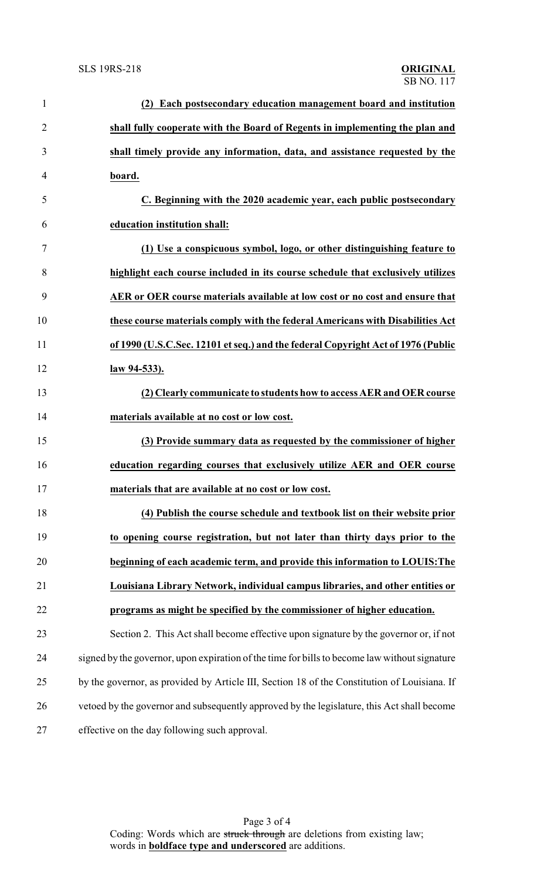| $\mathbf{1}$   | (2) Each postsecondary education management board and institution                             |
|----------------|-----------------------------------------------------------------------------------------------|
| $\overline{2}$ | shall fully cooperate with the Board of Regents in implementing the plan and                  |
| 3              | shall timely provide any information, data, and assistance requested by the                   |
| 4              | board.                                                                                        |
| 5              | C. Beginning with the 2020 academic year, each public postsecondary                           |
| 6              | education institution shall:                                                                  |
| $\tau$         | (1) Use a conspicuous symbol, logo, or other distinguishing feature to                        |
| 8              | highlight each course included in its course schedule that exclusively utilizes               |
| 9              | AER or OER course materials available at low cost or no cost and ensure that                  |
| 10             | these course materials comply with the federal Americans with Disabilities Act                |
| 11             | of 1990 (U.S.C.Sec. 12101 et seq.) and the federal Copyright Act of 1976 (Public              |
| 12             | law 94-533).                                                                                  |
| 13             | (2) Clearly communicate to students how to access AER and OER course                          |
| 14             | materials available at no cost or low cost.                                                   |
| 15             | (3) Provide summary data as requested by the commissioner of higher                           |
| 16             | education regarding courses that exclusively utilize AER and OER course                       |
| 17             | materials that are available at no cost or low cost.                                          |
| 18             | (4) Publish the course schedule and textbook list on their website prior                      |
| 19             | to opening course registration, but not later than thirty days prior to the                   |
| 20             | beginning of each academic term, and provide this information to LOUIS: The                   |
| 21             | Louisiana Library Network, individual campus libraries, and other entities or                 |
| 22             | programs as might be specified by the commissioner of higher education.                       |
| 23             | Section 2. This Act shall become effective upon signature by the governor or, if not          |
| 24             | signed by the governor, upon expiration of the time for bills to become law without signature |
| 25             | by the governor, as provided by Article III, Section 18 of the Constitution of Louisiana. If  |
| 26             | vetoed by the governor and subsequently approved by the legislature, this Act shall become    |
| 27             | effective on the day following such approval.                                                 |